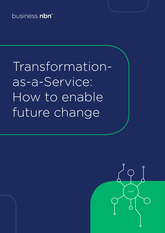business nbn<sup>™</sup>

Transformationas-a-Service: How to enable future change

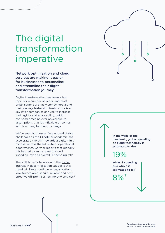### The digital transformation imperative

Network optimisation and cloud services are making it easier for businesses to personalise and streamline their digital transformation journey.

Digital transformation has been a hot topic for a number of years, and most organisations are likely somewhere along their journey. Network infrastructure is a key lever companies can use to increase their agility and adaptability, but it can sometimes be overlooked due to assumptions that it's inflexible or comes with too many barriers to change.

We've seen businesses face unpredictable challenges as the COVID-19 pandemic has accelerated the shift towards a digital-first mindset across the full suite of operational departments. Gartner reports that globally this has led to an increase in cloud spending, even as overall IT spending fell.<sup>1</sup>

The shift to remote work and the [rising](https://www.nbnco.com.au/content/dam/nbnco2/2020/documents/business/white-papers/the-case-for-decentralisation.pdf)  [interest in decentralisation](https://www.nbnco.com.au/content/dam/nbnco2/2020/documents/business/white-papers/the-case-for-decentralisation.pdf) suggests this trend will likely continue as organisations look for scalable, secure, reliable and costeffective off-premises technology services.<sup>2</sup>



In the wake of the pandemic, global spending on cloud technology is estimated to rise

19%

while IT spending as a whole is estimated to fall

1 8%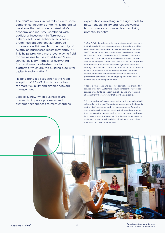The  $nbn^{m}$  network initial rollout (with some complex connections ongoing) is the digital backbone that will underpin Australia's economy and industry. Combined with additional investment in fibre-based network solutions, enhanced businessgrade network connectivity upgrade options are within reach of the majority of Australian businesses (costs may apply).\*^ This helps provide a more level playing field for businesses to use cloud-based 'as-aservice' delivery models for everything from software to infrastructure to platforms, which are the building blocks for digital transformation.#

Helping bring it all together is the rapid adoption of SD-WAN, which can allow for more flexibility and simpler network management.

Especially now, when businesses are pressed to improve processes and customer experiences to meet changing expectations, investing in the right tools to better enable agility and responsiveness to customers and competitors can bring potential benefits.

#### \* NBN Co's initial volume build completion commitment was that all standard installation premises in Australia would be able to connect to the nbn™ access network as at 30 June 2020. This excluded premises in future new developments which would be an ongoing activity for NBN Co beyond 30 June 2020. It also excluded a small proportion of premises defined as 'complex connections' – which includes properties that are difficult to access, culturally significant areas and heritage sites – where connection depends on factors outside of NBN Co's control such as permission from traditional owners, and where network construction to allow such premises to connect will be an ongoing activity of NBN Co beyond the build completion date.

^ nbn is a wholesaler and does not control costs charged by service providers. Customers should contact their preferred service provider to ask about availability and any fees and charges from their provider that may be applicable.

# An end customer's experience, including the speeds actually achieved over the nbn™ broadband access network, depends on the nbn™ access network technology and configuration over which services are delivered to their premises, whether they are using the internet during the busy period, and some factors outside of nbn's control (like their equipment quality, software, chosen broadband plan, signal reception, or how their provider designs its network).

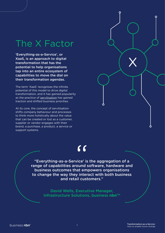## The X Factor

'Everything-as-a-Service', or XaaS, is an approach to digital transformation that has the potential to help organisations tap into an entire ecosystem of capabilities to move the dial on their transformation agendas.

The term 'XaaS' recognises the infinite potential of this model to drive digital transformation, and it has gained popularity as the practice of [servitisation](https://www.edie.net/definition/Servitisation/99#:~:text=DEFINITION%3A%20The%20servitisation%20of%20products,a%20product%20with%20a%20service.) has gained traction and shifted business priorities.

At its core, the concept of servitisation shifts company behaviour and processes to think more holistically about the value that can be created or lost as a customer, supplier or vendor engages with their brand, a purchase, a product, a service or support systems.

### "

"Everything-as-a-Service' is the aggregation of a range of capabilities around software, hardware and business outcomes that empowers organisations to change the way they interact with both business and retail customers."

> David Wells, Executive Manager, **Infrastructure Solutions, business nbn™**

X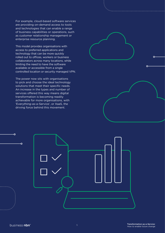For example, cloud-based software services are providing on-demand access to tools and technologies that can enable a range of business capabilities or operations, such as customer relationship management or enterprise resource planning.

This model provides organisations with access to preferred applications and technology that can be more quickly rolled out to offices, workers or business collaborators across many locations, while limiting the need to have the software available or accessible from a single controlled location or security managed VPN.

The power now sits with organisations to pick and choose the ideal technology solutions that meet their specific needs. An increase in the types and number of services offered this way means digital transformation is becoming readily achievable for more organisations, with 'Everything-as-a-Service', or XaaS, the driving force behind this movement.



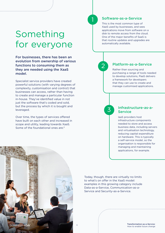### Something for everyone

For businesses, there has been an evolution from ownership of various functions to consuming them as they are needed using the XaaS model.

Specialist service providers have created powerful solutions (with varying degrees of complexity, customisation and control) that businesses can access, rather than having to create and manage a particular function in-house. They've identified value in not just the software that's coded and sold, but the process by which it is bought and leveraged.

Over time, the types of services offered have built on each other and increased in scope and utility, leading towards XaaS. Some of the foundational ones are:<sup>3</sup>



#### Software-as-a-Service

This is the most common type of XaaS used by businesses, and sees applications move from software on a disk to remote access from the cloud. One of the major benefits of SaaS is that routine updates and upgrades are automatically available.



#### Platform-as-a-Service

Rather than sourcing and purchasing a range of tools needed to develop solutions, PaaS delivers a framework for developers that they can use to create and manage customised applications.

3

#### Infrastructure-as-a-**Service**

IaaS providers host infrastructure components needed to store and access business data, including servers and virtualisation technology, reducing capital expenditure on hardware. This is typically a self-service model, so the organisation is responsible for managing and maintaining applications, for example.



Today, though, there are virtually no limits to what's on offer in the XaaS model: examples in this growing category include Data-as-a-Service, Communication-as-a-Service and Security-as-a-Service.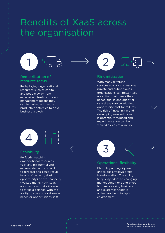### Benefits of XaaS across the organisation



### Redistribution of resource focus

Redeploying organisational resources such as capital and people away from expensive infrastructure and management means they can be tasked with more productive activities to drive business growth.





### **Scalability**

Perfectly matching organisational resources to changing internal and external demands is hard to forecast and could result in lack of capacity (lost opportunity) or over-capacity (wasted money). An XaaS approach can make it easier to strike a balance, with the ability to scale up or down as needs or opportunities shift.



#### Risk mitigation

With many different services available on various private and public clouds, organisations can better tailor a solution that meets their needs, trial it, and adopt or cancel the service with low opportunity cost for failures. The risk of investing in and developing new solutions is potentially reduced and experimentation can be viewed as less of a luxury.



### Operational flexibility

Flexibility and agility are critical for effective digital transformation. The ability to quickly adapt to changing market conditions and pivot to meet evolving business and customer needs is an imperative in today's environment.

<sup>7</sup> Transformation-as-a-Service: How to enable future change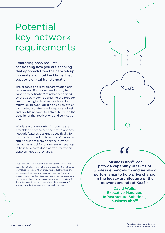### Potential key network requirements

Embracing XaaS requires considering how you are enabling that approach from the network up to create a 'digital backbone' that supports digital transformation.

The process of digital transformation can be complex. For businesses looking to adopt a 'servitisation' mindset supported by the XaaS model, addressing the broader needs of a digital business such as cloud migration, network agility, and a remote or distributed workforce will require a robust and flexible network to help fully realise the benefits of the applications and services on offer.

Wholesale business **nbn**™ products are available to service providers with optional network features designed specifically for the needs of modern businesses.<sup>\$</sup> business **nbn**™ solutions from a service provider can act as a tool for businesses to leverage to help take advantage of transformation opportunities as they arise.

\$ business nbn™ is not available on the nbn™ fixed wireless network. Not all providers offer plans based on the full range of wholesale business nbn™ products, product features and services. Availability of wholesale business nbn™ products, product features and services depends on an end customer's access technology and area. Ask your preferred provider if they offer plans based on these wholesale business nbn™ products, product features and services in your area.

"business **nbn**TM can provide capability in terms of wholesale bandwidth and network performance to help drive change in the legacy architecture of the network and adopt XaaS."  $\frac{6}{100}$   $\frac{6}{100}$   $\frac{6}{100}$   $\frac{6}{100}$   $\frac{1}{100}$   $\frac{6}{100}$   $\frac{1}{100}$   $\frac{1}{100}$ 

XaaS

 $\mathbf{o}$ 

Ó

David Wells, Executive Manager, Infrastructure Solutions, **business nbn™**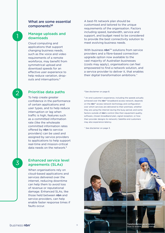### What are some essential components?\$

### Manage uploads and downloads

1

2

3

Cloud computing and applications that support changing business needs, such as the voice and video requirements of a remote workforce, may benefit from symmetrical upload and download speeds for an effective user experience to help reduce variation, dropouts and interruptions.<sup>ß</sup>

A best-fit network plan should be customised and tailored to the unique requirements of the organisation. Factors including speed, bandwidth, service and support, and budget need to be considered to provide the best connectivity solution to meet evolving business needs.

With business  $nbn^{m}$  solutions from service providers and a fibre-based connection upgrade option now available to the vast majority of Australian businesses (costs may apply), organisations can feel empowered to find a network solution, and a service provider to deliver it, that enables their digital transformation ambitions.^

### Prioritise data paths

To help create greater confidence in the performance of certain applications and user types, and to help reduce interruption or lag when traffic is high, features such as a committed information rate (like the wholesale committed information rates offered by nbn to service providers) can be used and assigned by service providers to applications to help support real-time and mission-critical data needs on the network  $\beta$ 

#### Enhanced service level agreements (SLAs)

When organisations rely on cloud-based applications and services delivered over the internet, reducing downtime can help them to avoid loss of revenue or reputational damage. Enhanced SLAs, like those held between nbn and service providers, can help enable faster response times if faults occur.

\$ See disclaimer on page 8.

<sup>B</sup> An end customer's experience, including the speeds actually achieved over the nbn™ broadband access network, depends on the nbn™ access network technology and configuration over which services are delivered to their premises, whether they are using the internet during the busy period, and some factors outside of nbn's control (like their equipment quality, software, chosen broadband plan, signal reception, or how their provider designs its network). Satellite end customers may also experience latency.

^ See disclaimer on page 3.

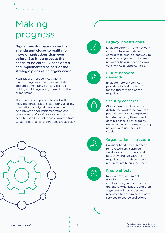### Making progress

Digital transformation is on the agenda and closer to reality for more organisations than ever before. But it is a process that needs to be carefully considered and implemented as part of the strategic plans of an organisation.

XaaS places more services within reach, though random experimentation and adopting a range of services too quickly could negate any benefits to the organisation.

That's why it's important to start with network considerations, as setting a strong foundation, or 'digital backbone', can help prevent poor implementation and performance of XaaS applications or the need for band-aid solutions down the track. What additional considerations are at play?



### Legacy infrastructure

Evaluate current IT and network infrastructure and related contracts to create a pathway to unwind arrangements that may no longer fit your needs as you consider XaaS opportunities.

### Future network demands

 $\overline{z}$ 

 $\checkmark$ 

Evaluate network service providers to find the best fit for the future vision of the organisation.

### Security concerns

Cloud-based services and a distributed workforce have the potential to increase exposure to cyber security threats and data breaches if not properly managed, which makes ensuring network and user security crucial.

### Organisational structure

Consider head office, branches, remote workers, suppliers, vendors and customers, and how they engage with the organisation and the network requirements to support them.

### Ripple effects

Review how XaaS might transform customer and employee engagement across the entire organisation, and then align strategic priorities and resources to determine the best services to source and adopt.